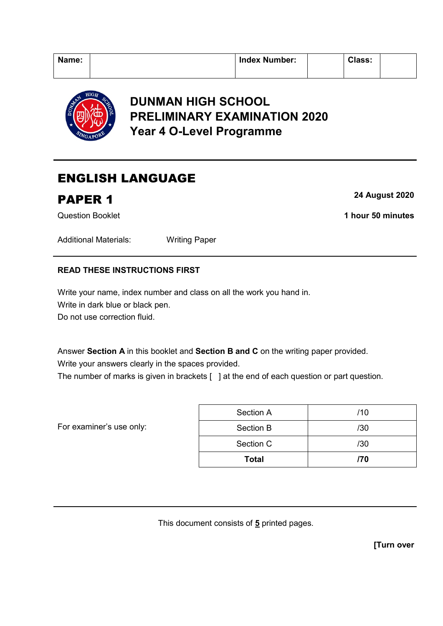| Name: | <b>Index Number:</b> | <b>Class:</b> |  |
|-------|----------------------|---------------|--|
|       |                      |               |  |



## **DUNMAN HIGH SCHOOL PRELIMINARY EXAMINATION 2020 Year 4 O-Level Programme**

# ENGLISH LANGUAGE

## **PAPER 1** 24 August 2020

Question Booklet **1 hour 50 minutes**

Additional Materials: Writing Paper

## **READ THESE INSTRUCTIONS FIRST**

Write your name, index number and class on all the work you hand in. Write in dark blue or black pen. Do not use correction fluid.

Answer **Section A** in this booklet and **Section B and C** on the writing paper provided.

Write your answers clearly in the spaces provided.

The number of marks is given in brackets [ ] at the end of each question or part question.

For examiner's use only:

| <b>Total</b> | /70 |
|--------------|-----|
| Section C    | /30 |
| Section B    | /30 |
| Section A    | /10 |

This document consists of **5** printed pages.

**[Turn over**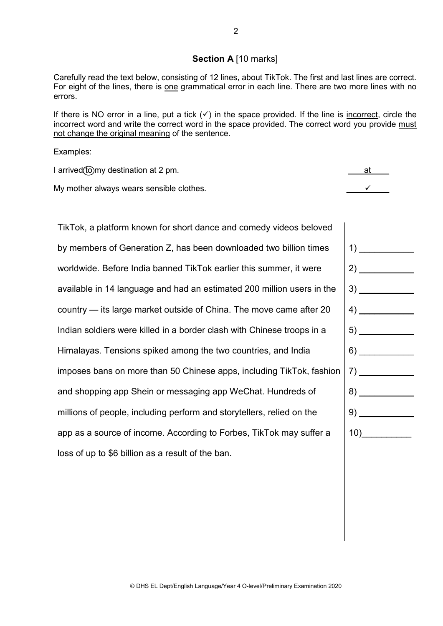### **Section A** [10 marks]

Carefully read the text below, consisting of 12 lines, about TikTok. The first and last lines are correct. For eight of the lines, there is one grammatical error in each line. There are two more lines with no errors.

If there is NO error in a line, put a tick  $(\checkmark)$  in the space provided. If the line is <u>incorrect</u>, circle the incorrect word and write the correct word in the space provided. The correct word you provide must not change the original meaning of the sentence.

Examples:

I arrived (to my destination at 2 pm.  $\blacksquare$ 

My mother always wears sensible clothes.  $\checkmark$ 

TikTok, a platform known for short dance and comedy videos beloved by members of Generation Z, has been downloaded two billion times worldwide. Before India banned TikTok earlier this summer, it were available in 14 language and had an estimated 200 million users in the country — its large market outside of China. The move came after 20 Indian soldiers were killed in a border clash with Chinese troops in a Himalayas. Tensions spiked among the two countries, and India imposes bans on more than 50 Chinese apps, including TikTok, fashion and shopping app Shein or messaging app WeChat. Hundreds of millions of people, including perform and storytellers, relied on the app as a source of income. According to Forbes, TikTok may suffer a loss of up to \$6 billion as a result of the ban.

| $\left( \begin{array}{c} 1 \end{array} \right)$                                                                                                                                                                                                                                                                                                                                                                                                                                                                                                      |
|------------------------------------------------------------------------------------------------------------------------------------------------------------------------------------------------------------------------------------------------------------------------------------------------------------------------------------------------------------------------------------------------------------------------------------------------------------------------------------------------------------------------------------------------------|
|                                                                                                                                                                                                                                                                                                                                                                                                                                                                                                                                                      |
|                                                                                                                                                                                                                                                                                                                                                                                                                                                                                                                                                      |
| $\left( \begin{array}{c} 4 \end{array} \right)$                                                                                                                                                                                                                                                                                                                                                                                                                                                                                                      |
|                                                                                                                                                                                                                                                                                                                                                                                                                                                                                                                                                      |
|                                                                                                                                                                                                                                                                                                                                                                                                                                                                                                                                                      |
| $\begin{array}{c} \n \text{7)} \quad \text{---} \quad \text{---} \quad \text{---} \quad \text{---} \quad \text{---} \quad \text{---} \quad \text{---} \quad \text{---} \quad \text{---} \quad \text{---} \quad \text{---} \quad \text{---} \quad \text{---} \quad \text{---} \quad \text{---} \quad \text{---} \quad \text{---} \quad \text{---} \quad \text{---} \quad \text{---} \quad \text{---} \quad \text{---} \quad \text{---} \quad \text{---} \quad \text{---} \quad \text{---} \quad \text{---} \quad \text{---} \quad \text{---} \quad \$ |
|                                                                                                                                                                                                                                                                                                                                                                                                                                                                                                                                                      |
|                                                                                                                                                                                                                                                                                                                                                                                                                                                                                                                                                      |
| 10)                                                                                                                                                                                                                                                                                                                                                                                                                                                                                                                                                  |
|                                                                                                                                                                                                                                                                                                                                                                                                                                                                                                                                                      |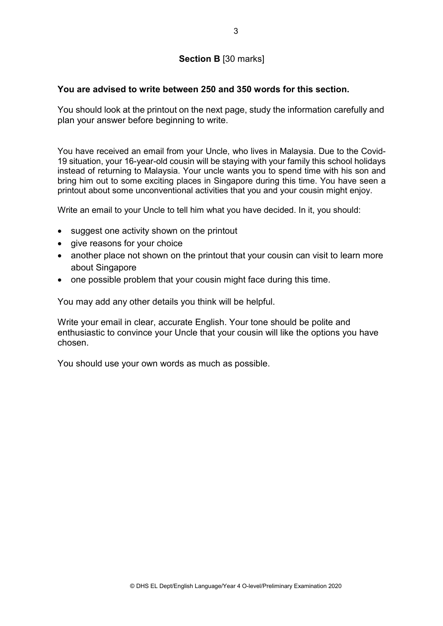## **Section B** [30 marks]

### **You are advised to write between 250 and 350 words for this section.**

You should look at the printout on the next page, study the information carefully and plan your answer before beginning to write.

You have received an email from your Uncle, who lives in Malaysia. Due to the Covid-19 situation, your 16-year-old cousin will be staying with your family this school holidays instead of returning to Malaysia. Your uncle wants you to spend time with his son and bring him out to some exciting places in Singapore during this time. You have seen a printout about some unconventional activities that you and your cousin might enjoy.

Write an email to your Uncle to tell him what you have decided. In it, you should:

- suggest one activity shown on the printout
- give reasons for your choice
- another place not shown on the printout that your cousin can visit to learn more about Singapore
- one possible problem that your cousin might face during this time.

You may add any other details you think will be helpful.

Write your email in clear, accurate English. Your tone should be polite and enthusiastic to convince your Uncle that your cousin will like the options you have chosen.

You should use your own words as much as possible.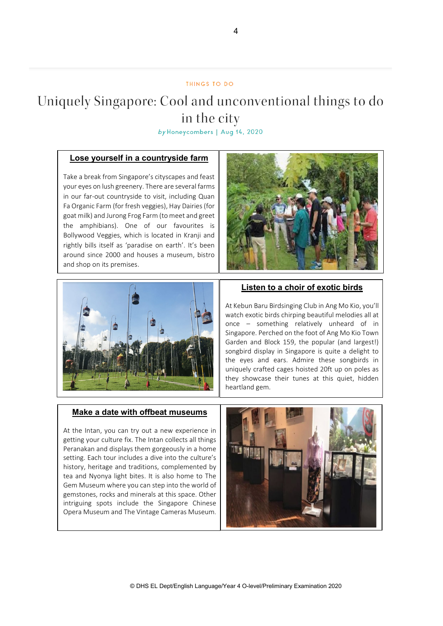#### THINGS TO DO

# Uniquely Singapore: Cool and unconventional things to do in the city

by Honeycombers | Aug 14, 2020

### **Lose yourself in a countryside farm**

Take a break from Singapore's cityscapes and feast your eyes on lush greenery. There are several farms in our far-out countryside to visit, including Quan Fa Organic Farm (for fresh veggies), Hay Dairies (for goat milk) and Jurong Frog Farm (to meet and greet the amphibians). One of our favourites is Bollywood Veggies, which is located in Kranji and rightly bills itself as 'paradise on earth'. It's been around since 2000 and houses a museum, bistro and shop on its premises.





### **Listen to a choir of exotic birds**

At Kebun Baru Birdsinging Club in Ang Mo Kio, you'll watch exotic birds chirping beautiful melodies all at once – something relatively unheard of in Singapore. Perched on the foot of Ang Mo Kio Town Garden and Block 159, the popular (and largest!) songbird display in Singapore is quite a delight to the eyes and ears. Admire these songbirds in uniquely crafted cages hoisted 20ft up on poles as they showcase their tunes at this quiet, hidden heartland gem.

#### **Make a date with offbeat museums**

At the Intan, you can try out a new experience in getting your culture fix. The Intan collects all things Peranakan and displays them gorgeously in a home setting. Each tour includes a dive into the culture's history, heritage and traditions, complemented by tea and Nyonya light bites. It is also home to The Gem Museum where you can step into the world of gemstones, rocks and minerals at this space. Other intriguing spots include the Singapore Chinese Opera Museum and The Vintage Cameras Museum.